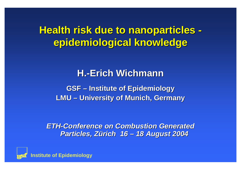# **Health risk due to nanoparticles epidemiological knowledge epidemiological knowledge**

#### **H.-Erich Wichmann Wichmann**

**GSF – Institute of Epidemiology Institute of Epidemiology LMU – University of Munich, Germany** 

*ETH-Conference on Combustion Generated Particles, Zürich 16 – 18 August 2004 18 August 2004*

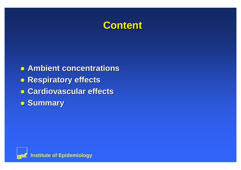

 $\bullet$  **Ambient concentrations** z **Respiratory Respiratory effects effects** z **Cardiovascular Cardiovascular effects effects** z **Summary Summary**

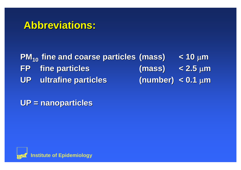#### **Abbreviations Abbreviations:**

**PM10 fine and fine and coarse particles particles (mass) < 10** µ**<sup>m</sup> FP fine particles particles (mass) < 2.5** µ**<sup>m</sup> UP ultrafine ultrafine particles particles (number) < 0.1** µ**<sup>m</sup>**

**UP = nanoparticles UP = nanoparticles**

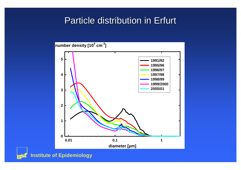#### Particle distribution in Erfurt



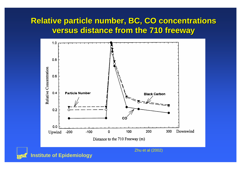#### **Relative particle number, BC, CO concentrations versus distance distance from the 710 freeway freeway**



**Institute of Epidemiology**

Zhu et al (2002)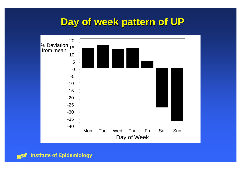#### **Day of week pattern of UP**



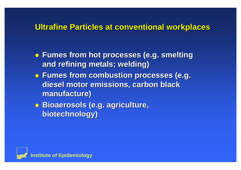#### **Ultrafine Ultrafine Particles Particles at conventional conventional workplaces workplaces**

- z **Fumes from hot processes processes (e.g. smelting smelting and refining refining metals; metals; welding welding)**
- z **Fumes from combustion combustion processes processes (e.g. diesel motor emissions emissions, carbon black manufacture manufacture)**
- $\bullet$  **Bioaerosols (e.g. agriculture, biotechnology biotechnology)**

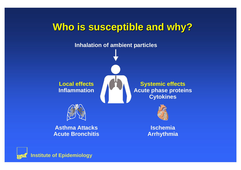

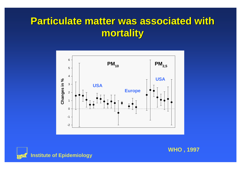## **Particulate matter was associated with mortality mortality**





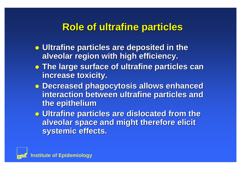#### **Role of Role of ultrafine ultrafine particles particles**

- **Ultrafine particles are deposited in the alveolar region with high efficiency. alveolar region with high efficiency.**
- z **The large surface of The large surface of ultrafine ultrafine particles can particles can increase toxicity. increase toxicity.**
- z **Decreased Decreased phagocytosis phagocytosis allows enhanced enhanced interaction interaction between between ultrafine ultrafine particles particles and the epithelium epithelium**
- z **Ultrafine Ultrafine particles are dislocated from the particles are dislocated from the alveolar space and might therefore elicit alveolar space and might therefore elicit**  systemic effects.

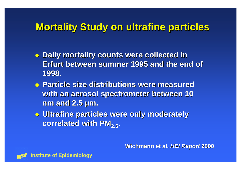### **Mortality Mortality Study on ultrafine ultrafine particles particles**

- z **Daily mortality mortality counts were collected collected in Erfurt between between summer 1995 and 1995 and the end of 1998.**
- z **Particle Particle size distributions distributions were measured measuredwith an aerosol aerosol spectrometer spectrometer between between 10 nm and 2.5 nm and 2.5 µm.**
- z **Ultrafine Ultrafine particles particles were only moderately moderately correlated correlated with PM2.5.**

**Wichmann Wichmann et al.** *HEI Report HEI Report* **2000**

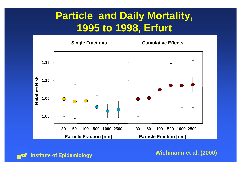## **Particle and Daily Mortality, 1995 to 1998, Erfurt**





**Wichmann et al. (2000)**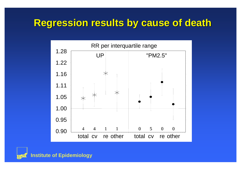#### **Regression Regression results results by cause of cause of death**



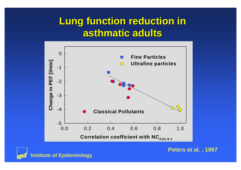#### **Lung function function reduction reduction in asthmatic asthmatic adults**





**Peters et al. , 1997**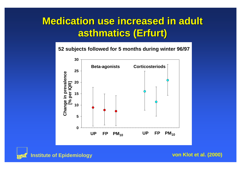## **Medication Medication use increased increased in adult asthmatics asthmatics (Erfurt) (Erfurt)**

#### **52 subjects followed for 5 months during winter 96/97**





**von Klot et al. (2000)**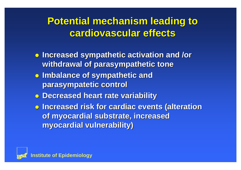### **Potential Potential mechanism mechanism leading leading to cardiovascular cardiovascular effects effects**

- z **Increased Increased sympathetic sympathetic activation activation and /or withdrawal withdrawal of parasympathetic parasympathetic tone**
- z **Imbalance Imbalance of sympathetic sympathetic and parasympatetic parasympatetic control control**
- z **Decreased Decreased heart rate variability variability**
- z **Increased Increased risk for cardiac cardiac events (alteration alteration of myocardial myocardial substrate substrate, increased increased myocardial myocardial vulnerability vulnerability)**

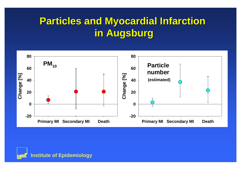## **Particles Particles and Myocardial Myocardial Infarction Infarction in Augsburg in Augsburg**



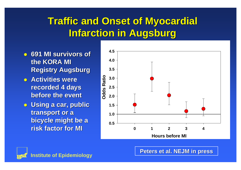# **Traffic Traffic and Onset of Myocardial Myocardial Infarction Infarction in Augsburg in Augsburg**

- z **691 MI survivors survivors of the KORA MI KORA MI Registry Augsburg**
- z **Activities Activities were recorded recorded 4 days before the event**
- z **Using a car, public transport transport or <sup>a</sup> bicycle bicycle might be <sup>a</sup> risk factor for MIMI**





**Peters et al. NEJM in press**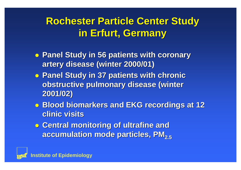## **Rochester Rochester Particle Particle Center Study in Erfurt, Germany in Erfurt, Germany**

- z **Panel Study in 56 patients patients with coronary coronary artery disease disease (winter 2000/01) 2000/01)**
- z **Panel Study in 37 patients patients with chronic chronic obstructive obstructive pulmonary pulmonary disease disease (winter 2001/02) 2001/02)**
- z **Blood biomarkers biomarkers and EKG and EKG recordings recordings at 12 clinic visits**
- **o** Central monitoring of ultrafine and **accumulation accumulation mode particles particles, PM2.5**

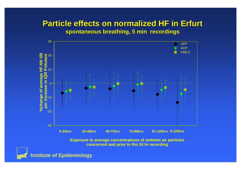#### **Particle Particle effects effects on normalized normalized HF in Erfurt HF in Erfurt spontaneous breathing, 5 min recordings**



**Exposure to average concentrations of ambient air particles concurrent and prior to the 24 hr recording**

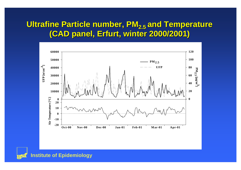#### **Ultrafine Ultrafine Particle Particle number, PM2.5 and Temperature Temperature (CAD panel, Erfurt, , Erfurt, winter 2000/2001) 2000/2001)**



**Institute of Epidemiology**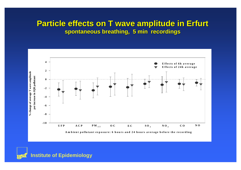#### **Particle Particle effects effects on T wave amplitude amplitude in Erfurt in Erfurt spontaneous spontaneous breathing breathing, 5 min , 5 min recordings recordings**



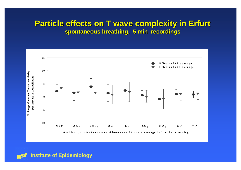#### **Particle Particle effects effects on T wave complexity complexity in Erfurt in Erfurt spontaneous spontaneous breathing breathing, 5 min , 5 min recordings recordings**